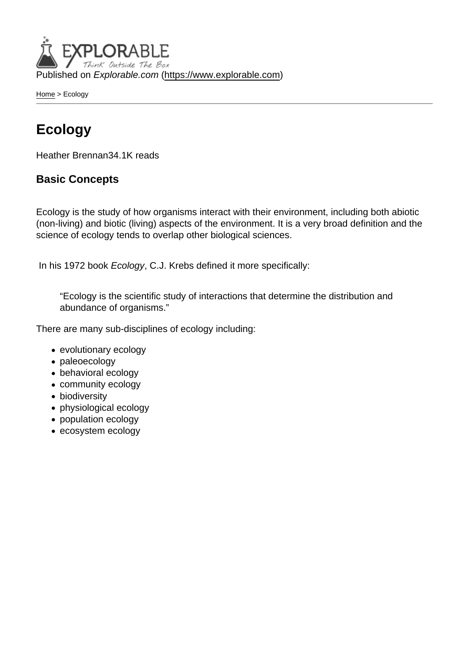Published on Explorable.com (<https://www.explorable.com>)

[Home](https://www.explorable.com/) > Ecology

### Ecology

Heather Brennan34.1K reads

#### Basic Concepts

Ecology is the study of how organisms interact with their environment, including both abiotic (non-living) and biotic (living) aspects of the environment. It is a very broad definition and the science of ecology tends to overlap other biological sciences.

In his 1972 book Ecology, C.J. Krebs defined it more specifically:

"Ecology is the scientific study of interactions that determine the distribution and abundance of organisms."

There are many sub-disciplines of ecology including:

- evolutionary ecology
- paleoecology
- behavioral ecology
- community ecology
- biodiversity
- physiological ecology
- population ecology
- ecosystem ecology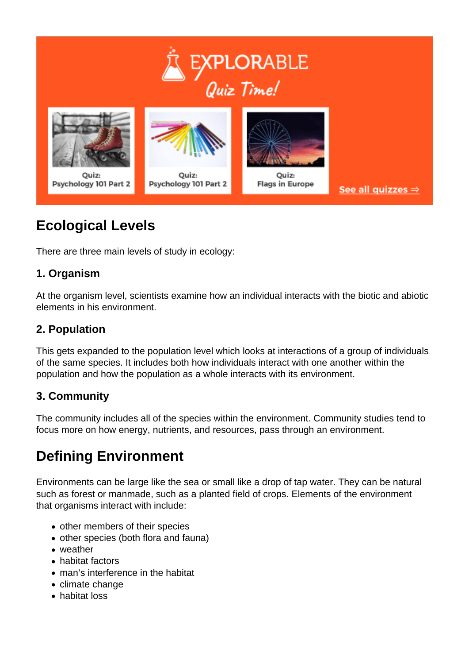

## **Ecological Levels**

There are three main levels of study in ecology:

### **1. Organism**

At the organism level, scientists examine how an individual interacts with the biotic and abiotic elements in his environment.

### **2. Population**

This gets expanded to the population level which looks at interactions of a group of individuals of the same species. It includes both how individuals interact with one another within the population and how the population as a whole interacts with its environment.

#### **3. Community**

The community includes all of the species within the environment. Community studies tend to focus more on how energy, nutrients, and resources, pass through an environment.

# **Defining Environment**

Environments can be large like the sea or small like a drop of tap water. They can be natural such as forest or manmade, such as a planted field of crops. Elements of the environment that organisms interact with include:

- other members of their species
- other species (both flora and fauna)
- weather
- habitat factors
- man's interference in the habitat
- climate change
- habitat loss